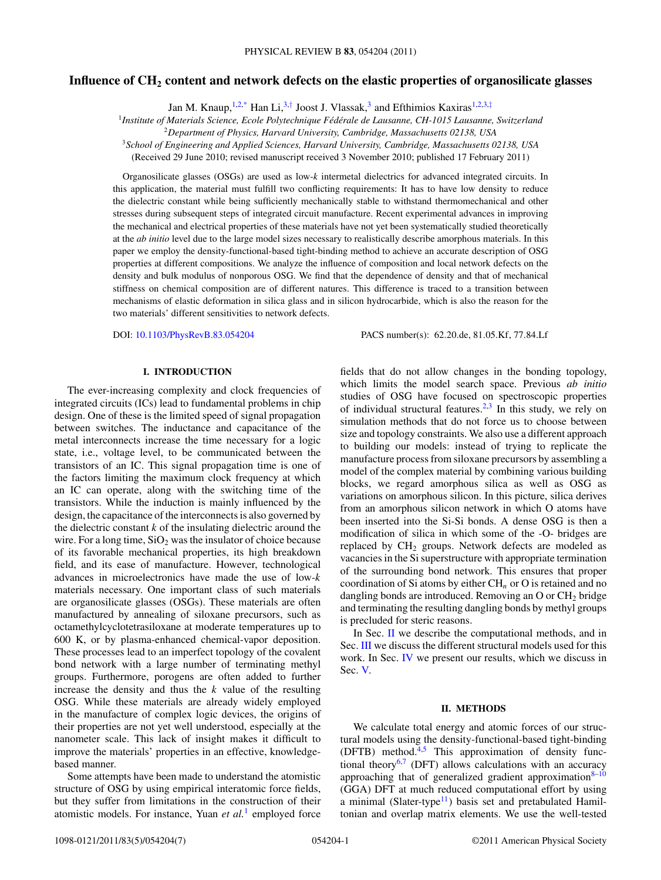# **Influence of CH2 content and network defects on the elastic properties of organosilicate glasses**

Jan M. Knaup,  $1,2,^*$  Han Li, $3,^{\dagger}$  Joost J. Vlassak,  $3$  and Efthimios Kaxiras  $1,2,3,$  $\ddagger$ 

<sup>1</sup>*Institute of Materials Science, Ecole Polytechnique Fed´ erale de Lausanne, CH-1015 Lausanne, Switzerland ´*

<sup>3</sup>*School of Engineering and Applied Sciences, Harvard University, Cambridge, Massachusetts 02138, USA*

(Received 29 June 2010; revised manuscript received 3 November 2010; published 17 February 2011)

Organosilicate glasses (OSGs) are used as low-*k* intermetal dielectrics for advanced integrated circuits. In this application, the material must fulfill two conflicting requirements: It has to have low density to reduce the dielectric constant while being sufficiently mechanically stable to withstand thermomechanical and other stresses during subsequent steps of integrated circuit manufacture. Recent experimental advances in improving the mechanical and electrical properties of these materials have not yet been systematically studied theoretically at the *ab initio* level due to the large model sizes necessary to realistically describe amorphous materials. In this paper we employ the density-functional-based tight-binding method to achieve an accurate description of OSG properties at different compositions. We analyze the influence of composition and local network defects on the density and bulk modulus of nonporous OSG. We find that the dependence of density and that of mechanical stiffness on chemical composition are of different natures. This difference is traced to a transition between mechanisms of elastic deformation in silica glass and in silicon hydrocarbide, which is also the reason for the two materials' different sensitivities to network defects.

DOI: [10.1103/PhysRevB.83.054204](http://dx.doi.org/10.1103/PhysRevB.83.054204) PACS number(s): 62*.*20*.*de, 81*.*05*.*Kf, 77*.*84*.*Lf

# **I. INTRODUCTION**

The ever-increasing complexity and clock frequencies of integrated circuits (ICs) lead to fundamental problems in chip design. One of these is the limited speed of signal propagation between switches. The inductance and capacitance of the metal interconnects increase the time necessary for a logic state, i.e., voltage level, to be communicated between the transistors of an IC. This signal propagation time is one of the factors limiting the maximum clock frequency at which an IC can operate, along with the switching time of the transistors. While the induction is mainly influenced by the design, the capacitance of the interconnects is also governed by the dielectric constant *k* of the insulating dielectric around the wire. For a long time,  $SiO<sub>2</sub>$  was the insulator of choice because of its favorable mechanical properties, its high breakdown field, and its ease of manufacture. However, technological advances in microelectronics have made the use of low-*k* materials necessary. One important class of such materials are organosilicate glasses (OSGs). These materials are often manufactured by annealing of siloxane precursors, such as octamethylcyclotetrasiloxane at moderate temperatures up to 600 K, or by plasma-enhanced chemical-vapor deposition. These processes lead to an imperfect topology of the covalent bond network with a large number of terminating methyl groups. Furthermore, porogens are often added to further increase the density and thus the *k* value of the resulting OSG. While these materials are already widely employed in the manufacture of complex logic devices, the origins of their properties are not yet well understood, especially at the nanometer scale. This lack of insight makes it difficult to improve the materials' properties in an effective, knowledgebased manner.

Some attempts have been made to understand the atomistic structure of OSG by using empirical interatomic force fields, but they suffer from limitations in the construction of their atomistic models. For instance, Yuan *et al.*[1](#page-6-0) employed force fields that do not allow changes in the bonding topology, which limits the model search space. Previous *ab initio* studies of OSG have focused on spectroscopic properties of individual structural features. $2,3$  In this study, we rely on simulation methods that do not force us to choose between size and topology constraints. We also use a different approach to building our models: instead of trying to replicate the manufacture process from siloxane precursors by assembling a model of the complex material by combining various building blocks, we regard amorphous silica as well as OSG as variations on amorphous silicon. In this picture, silica derives from an amorphous silicon network in which O atoms have been inserted into the Si-Si bonds. A dense OSG is then a modification of silica in which some of the -O- bridges are replaced by  $CH<sub>2</sub>$  groups. Network defects are modeled as vacancies in the Si superstructure with appropriate termination of the surrounding bond network. This ensures that proper coordination of Si atoms by either CH*<sup>n</sup>* or O is retained and no dangling bonds are introduced. Removing an  $O$  or  $CH<sub>2</sub>$  bridge and terminating the resulting dangling bonds by methyl groups is precluded for steric reasons.

In Sec. II we describe the computational methods, and in Sec. [III](#page-1-0) we discuss the different structural models used for this work. In Sec. [IV](#page-2-0) we present our results, which we discuss in Sec. [V](#page-4-0)*.*

### **II. METHODS**

We calculate total energy and atomic forces of our structural models using the density-functional-based tight-binding (DFTB) method. $4.5$  This approximation of density functional theory<sup>6,7</sup> (DFT) allows calculations with an accuracy approaching that of generalized gradient approximation<sup>8–10</sup> (GGA) DFT at much reduced computational effort by using a minimal (Slater-type $11$ ) basis set and pretabulated Hamiltonian and overlap matrix elements. We use the well-tested

<sup>2</sup>*Department of Physics, Harvard University, Cambridge, Massachusetts 02138, USA*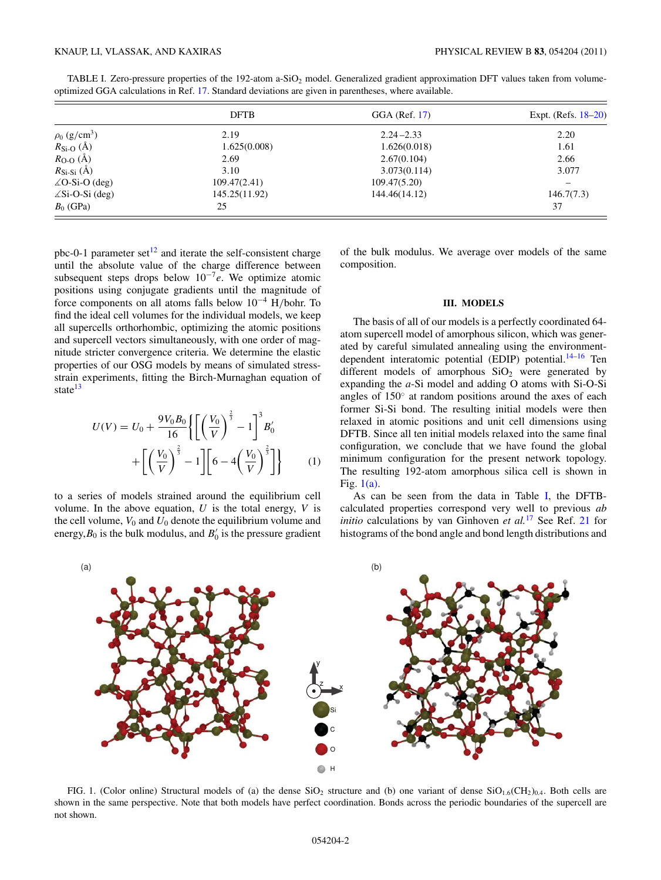|                               | <b>DFTB</b>   | $GGA$ (Ref. 17) | Expt. $(Refs. 18-20)$ |  |
|-------------------------------|---------------|-----------------|-----------------------|--|
| $\rho_0$ (g/cm <sup>3</sup> ) | 2.19          | $2.24 - 2.33$   | 2.20                  |  |
| $R_{\text{Si-O}}(\text{\AA})$ | 1.625(0.008)  | 1.626(0.018)    | 1.61                  |  |
| $R_{\text{O-O}}(\AA)$         | 2.69          | 2.67(0.104)     | 2.66                  |  |
| $R_{\text{Si-Si}}(\AA)$       | 3.10          | 3.073(0.114)    | 3.077                 |  |
| $\angle$ O-Si-O (deg)         | 109.47(2.41)  | 109.47(5.20)    | -                     |  |
| $\angle$ Si-O-Si (deg)        | 145.25(11.92) | 144.46(14.12)   | 146.7(7.3)            |  |
| $B_0$ (GPa)                   | 25            |                 | 37                    |  |

<span id="page-1-0"></span>TABLE I. Zero-pressure properties of the 192-atom a-SiO<sub>2</sub> model. Generalized gradient approximation DFT values taken from volumeoptimized GGA calculations in Ref. [17.](#page-6-0) Standard deviations are given in parentheses, where available.

pbc-0-1 parameter  $set<sup>12</sup>$  $set<sup>12</sup>$  $set<sup>12</sup>$  and iterate the self-consistent charge until the absolute value of the charge difference between subsequent steps drops below 10−7*e*. We optimize atomic positions using conjugate gradients until the magnitude of force components on all atoms falls below 10−<sup>4</sup> H*/*bohr. To find the ideal cell volumes for the individual models, we keep all supercells orthorhombic, optimizing the atomic positions and supercell vectors simultaneously, with one order of magnitude stricter convergence criteria. We determine the elastic properties of our OSG models by means of simulated stressstrain experiments, fitting the Birch-Murnaghan equation of state<sup>13</sup>

$$
U(V) = U_0 + \frac{9V_0B_0}{16} \left\{ \left[ \left( \frac{V_0}{V} \right)^{\frac{2}{3}} - 1 \right]^3 B'_0 + \left[ \left( \frac{V_0}{V} \right)^{\frac{2}{3}} - 1 \right] \left[ 6 - 4 \left( \frac{V_0}{V} \right)^{\frac{2}{3}} \right] \right\}
$$
 (1)

to a series of models strained around the equilibrium cell volume. In the above equation,  $U$  is the total energy,  $V$  is the cell volume,  $V_0$  and  $U_0$  denote the equilibrium volume and energy,  $B_0$  is the bulk modulus, and  $B_0'$  is the pressure gradient

of the bulk modulus. We average over models of the same composition.

# **III. MODELS**

The basis of all of our models is a perfectly coordinated 64 atom supercell model of amorphous silicon, which was generated by careful simulated annealing using the environment-dependent interatomic potential (EDIP) potential.<sup>[14–16](#page-6-0)</sup> Ten different models of amorphous  $SiO<sub>2</sub>$  were generated by expanding the *a*-Si model and adding O atoms with Si-O-Si angles of 150◦ at random positions around the axes of each former Si-Si bond. The resulting initial models were then relaxed in atomic positions and unit cell dimensions using DFTB. Since all ten initial models relaxed into the same final configuration, we conclude that we have found the global minimum configuration for the present network topology. The resulting 192-atom amorphous silica cell is shown in Fig. 1(a).

As can be seen from the data in Table I, the DFTBcalculated properties correspond very well to previous *ab initio* calculations by van Ginhoven *et al.*[17](#page-6-0) See Ref. [21](#page-6-0) for histograms of the bond angle and bond length distributions and



FIG. 1. (Color online) Structural models of (a) the dense  $SiO<sub>2</sub>$  structure and (b) one variant of dense  $SiO<sub>1.6</sub>(CH<sub>2</sub>)<sub>0.4</sub>$ . Both cells are shown in the same perspective. Note that both models have perfect coordination. Bonds across the periodic boundaries of the supercell are not shown.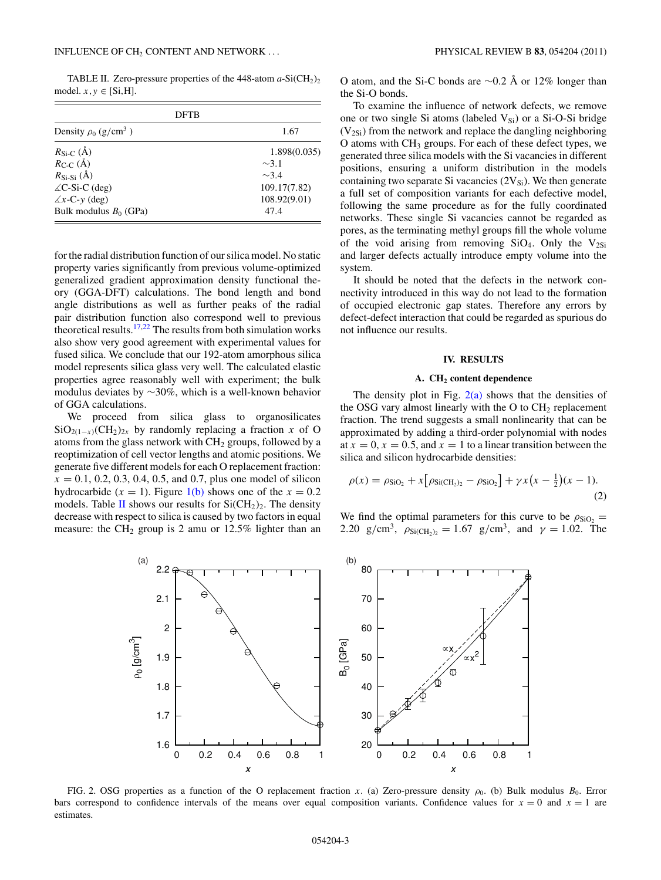<span id="page-2-0"></span>TABLE II. Zero-pressure properties of the  $448$ -atom  $a$ -Si $CH<sub>2</sub>)<sub>2</sub>$ model.  $x, y \in [Si, H]$ .

| <b>DFTB</b>                           |              |  |  |  |
|---------------------------------------|--------------|--|--|--|
| Density $\rho_0$ (g/cm <sup>3</sup> ) | 1.67         |  |  |  |
| $R_{\text{Si-C}}(\text{\AA})$         | 1.898(0.035) |  |  |  |
| $R_{C-C}(\AA)$                        | $\sim$ 3.1   |  |  |  |
| $R_{\text{Si-Si}}(\text{\AA})$        | $\sim$ 3.4   |  |  |  |
| $\angle C-Si-C$ (deg)                 | 109.17(7.82) |  |  |  |
| $\angle x$ -C-y (deg)                 | 108.92(9.01) |  |  |  |
| Bulk modulus $B_0$ (GPa)              | 47.4         |  |  |  |

for the radial distribution function of our silica model. No static property varies significantly from previous volume-optimized generalized gradient approximation density functional theory (GGA-DFT) calculations. The bond length and bond angle distributions as well as further peaks of the radial pair distribution function also correspond well to previous theoretical results. $17,22$  The results from both simulation works also show very good agreement with experimental values for fused silica. We conclude that our 192-atom amorphous silica model represents silica glass very well. The calculated elastic properties agree reasonably well with experiment; the bulk modulus deviates by ∼30%, which is a well-known behavior of GGA calculations.

We proceed from silica glass to organosilicates  $SiO_{2(1-x)}(CH_2)_{2x}$  by randomly replacing a fraction *x* of O atoms from the glass network with  $CH<sub>2</sub>$  groups, followed by a reoptimization of cell vector lengths and atomic positions. We generate five different models for each O replacement fraction:  $x = 0.1, 0.2, 0.3, 0.4, 0.5,$  and 0.7, plus one model of silicon hydrocarbide  $(x = 1)$ . Figure [1\(b\)](#page-1-0) shows one of the  $x = 0.2$ models. Table II shows our results for  $Si(CH_2)_2$ . The density decrease with respect to silica is caused by two factors in equal measure: the  $CH<sub>2</sub>$  group is 2 amu or 12.5% lighter than an O atom, and the Si-C bonds are  $\sim$ 0.2 Å or 12% longer than the Si-O bonds.

To examine the influence of network defects, we remove one or two single Si atoms (labeled  $V_{Si}$ ) or a Si-O-Si bridge  $(V_{2Si})$  from the network and replace the dangling neighboring O atoms with  $CH_3$  groups. For each of these defect types, we generated three silica models with the Si vacancies in different positions, ensuring a uniform distribution in the models containing two separate Si vacancies  $(2V_{Si})$ . We then generate a full set of composition variants for each defective model, following the same procedure as for the fully coordinated networks. These single Si vacancies cannot be regarded as pores, as the terminating methyl groups fill the whole volume of the void arising from removing  $SiO<sub>4</sub>$ . Only the  $V<sub>2Si</sub>$ and larger defects actually introduce empty volume into the system.

It should be noted that the defects in the network connectivity introduced in this way do not lead to the formation of occupied electronic gap states. Therefore any errors by defect-defect interaction that could be regarded as spurious do not influence our results.

### **IV. RESULTS**

#### **A. CH2 content dependence**

The density plot in Fig.  $2(a)$  shows that the densities of the OSG vary almost linearly with the O to  $CH<sub>2</sub>$  replacement fraction. The trend suggests a small nonlinearity that can be approximated by adding a third-order polynomial with nodes at  $x = 0$ ,  $x = 0.5$ , and  $x = 1$  to a linear transition between the silica and silicon hydrocarbide densities:

$$
\rho(x) = \rho_{\text{SiO}_2} + x \left[ \rho_{\text{Si(CH}_2)_2} - \rho_{\text{SiO}_2} \right] + \gamma x \left( x - \frac{1}{2} \right) (x - 1). \tag{2}
$$

We find the optimal parameters for this curve to be  $\rho_{\rm SiO_2} =$ 2.20 g/cm<sup>3</sup>,  $\rho_{Si(CH_2)_2} = 1.67$  g/cm<sup>3</sup>, and  $\gamma = 1.02$ . The



FIG. 2. OSG properties as a function of the O replacement fraction *x*. (a) Zero-pressure density  $\rho_0$ . (b) Bulk modulus  $B_0$ . Error bars correspond to confidence intervals of the means over equal composition variants. Confidence values for  $x = 0$  and  $x = 1$  are estimates.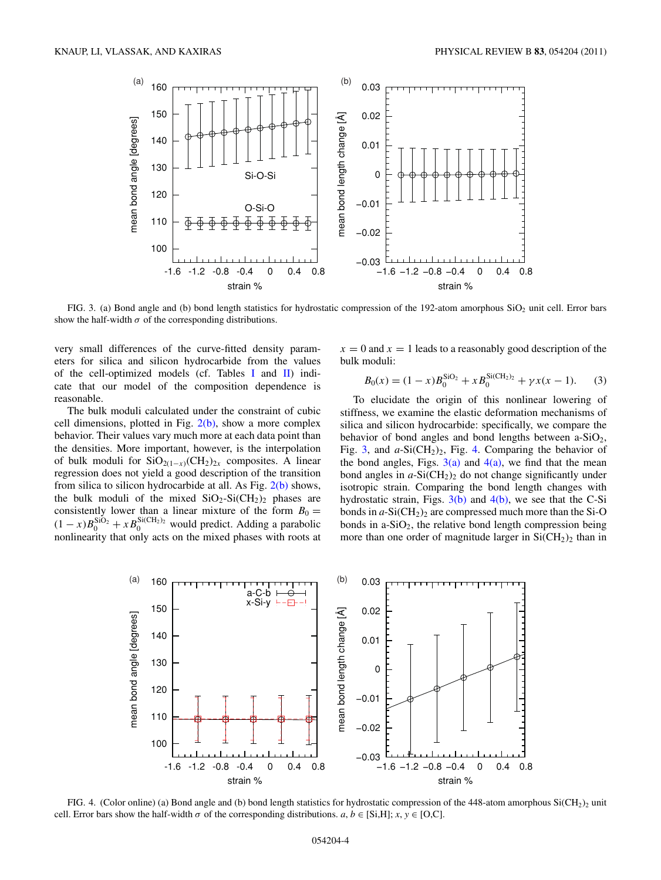<span id="page-3-0"></span>

FIG. 3. (a) Bond angle and (b) bond length statistics for hydrostatic compression of the 192-atom amorphous  $SiO<sub>2</sub>$  unit cell. Error bars show the half-width  $\sigma$  of the corresponding distributions.

very small differences of the curve-fitted density parameters for silica and silicon hydrocarbide from the values of the cell-optimized models (cf. Tables [I](#page-1-0) and [II\)](#page-2-0) indicate that our model of the composition dependence is reasonable.

The bulk moduli calculated under the constraint of cubic cell dimensions, plotted in Fig. [2\(b\),](#page-2-0) show a more complex behavior. Their values vary much more at each data point than the densities. More important, however, is the interpolation of bulk moduli for SiO2(1−*<sup>x</sup>*)(CH2)2*<sup>x</sup>* composites. A linear regression does not yield a good description of the transition from silica to silicon hydrocarbide at all. As Fig. [2\(b\)](#page-2-0) shows, the bulk moduli of the mixed  $SiO_2-Si(CH_2)_2$  phases are consistently lower than a linear mixture of the form  $B_0 =$  $(1 - x)B_0^{\text{SiO}_2} + xB_0^{\text{Si(CH}_2)_2}$  would predict. Adding a parabolic nonlinearity that only acts on the mixed phases with roots at

 $x = 0$  and  $x = 1$  leads to a reasonably good description of the bulk moduli:

$$
B_0(x) = (1 - x)B_0^{\text{SiO}_2} + xB_0^{\text{Si(CH}_2)_2} + \gamma x(x - 1). \tag{3}
$$

To elucidate the origin of this nonlinear lowering of stiffness, we examine the elastic deformation mechanisms of silica and silicon hydrocarbide: specifically, we compare the behavior of bond angles and bond lengths between  $a-SiO<sub>2</sub>$ , Fig. 3, and  $a-Si(CH_2)_2$ , Fig. 4. Comparing the behavior of the bond angles, Figs.  $3(a)$  and  $4(a)$ , we find that the mean bond angles in  $a$ -Si $(CH<sub>2</sub>)<sub>2</sub>$  do not change significantly under isotropic strain. Comparing the bond length changes with hydrostatic strain, Figs.  $3(b)$  and  $4(b)$ , we see that the C-Si bonds in  $a$ -Si $(CH_2)_2$  are compressed much more than the Si-O bonds in a- $SiO<sub>2</sub>$ , the relative bond length compression being more than one order of magnitude larger in  $SiCH<sub>2</sub>)<sub>2</sub>$  than in



FIG. 4. (Color online) (a) Bond angle and (b) bond length statistics for hydrostatic compression of the 448-atom amorphous  $SiCH<sub>2</sub>$ )<sub>2</sub> unit cell. Error bars show the half-width  $\sigma$  of the corresponding distributions.  $a, b \in [S_i, H]$ ;  $x, y \in [O, C]$ .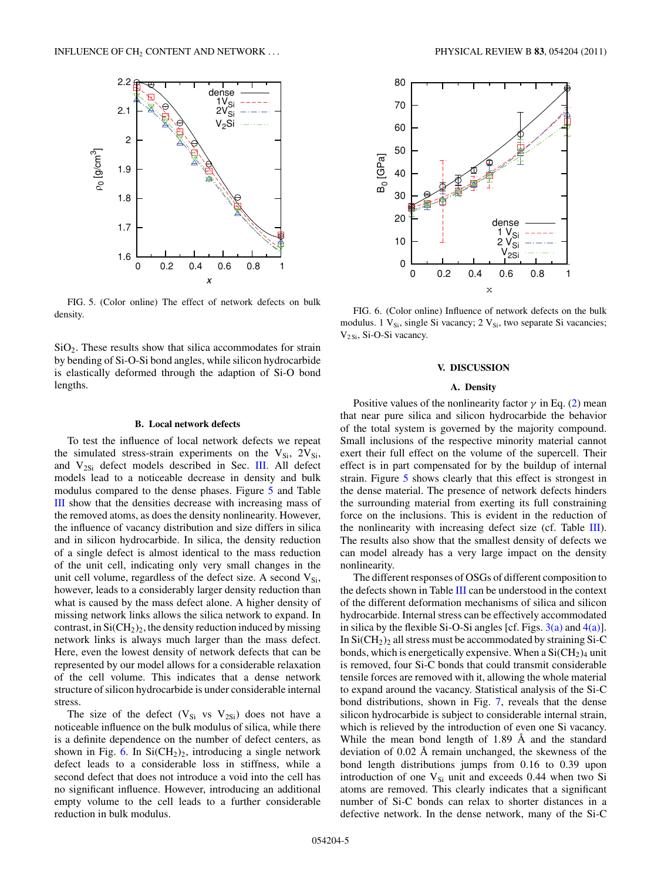<span id="page-4-0"></span>

FIG. 5. (Color online) The effect of network defects on bulk density.

 $SiO<sub>2</sub>$ . These results show that silica accommodates for strain by bending of Si-O-Si bond angles, while silicon hydrocarbide is elastically deformed through the adaption of Si-O bond lengths.

#### **B. Local network defects**

To test the influence of local network defects we repeat the simulated stress-strain experiments on the  $V_{Si}$ ,  $2V_{Si}$ , and  $V_{2Si}$  defect models described in Sec. [III.](#page-1-0) All defect models lead to a noticeable decrease in density and bulk modulus compared to the dense phases. Figure 5 and Table [III](#page-5-0) show that the densities decrease with increasing mass of the removed atoms, as does the density nonlinearity. However, the influence of vacancy distribution and size differs in silica and in silicon hydrocarbide. In silica, the density reduction of a single defect is almost identical to the mass reduction of the unit cell, indicating only very small changes in the unit cell volume, regardless of the defect size. A second  $V_{Si}$ , however, leads to a considerably larger density reduction than what is caused by the mass defect alone. A higher density of missing network links allows the silica network to expand. In contrast, in  $SiCH<sub>2</sub>)<sub>2</sub>$ , the density reduction induced by missing network links is always much larger than the mass defect. Here, even the lowest density of network defects that can be represented by our model allows for a considerable relaxation of the cell volume. This indicates that a dense network structure of silicon hydrocarbide is under considerable internal stress.

The size of the defect  $(V_{Si}$  vs  $V_{2Si}$ ) does not have a noticeable influence on the bulk modulus of silica, while there is a definite dependence on the number of defect centers, as shown in Fig. 6. In  $Si(CH_2)_2$ , introducing a single network defect leads to a considerable loss in stiffness, while a second defect that does not introduce a void into the cell has no significant influence. However, introducing an additional empty volume to the cell leads to a further considerable reduction in bulk modulus.



FIG. 6. (Color online) Influence of network defects on the bulk modulus. 1  $V_{Si}$ , single Si vacancy; 2  $V_{Si}$ , two separate Si vacancies; V<sub>2 Si</sub>, Si-O-Si vacancy.

#### **V. DISCUSSION**

# **A. Density**

Positive values of the nonlinearity factor  $\gamma$  in Eq. [\(2\)](#page-2-0) mean that near pure silica and silicon hydrocarbide the behavior of the total system is governed by the majority compound. Small inclusions of the respective minority material cannot exert their full effect on the volume of the supercell. Their effect is in part compensated for by the buildup of internal strain. Figure 5 shows clearly that this effect is strongest in the dense material. The presence of network defects hinders the surrounding material from exerting its full constraining force on the inclusions. This is evident in the reduction of the nonlinearity with increasing defect size (cf. Table [III\)](#page-5-0). The results also show that the smallest density of defects we can model already has a very large impact on the density nonlinearity.

The different responses of OSGs of different composition to the defects shown in Table [III](#page-5-0) can be understood in the context of the different deformation mechanisms of silica and silicon hydrocarbide. Internal stress can be effectively accommodated in silica by the flexible Si-O-Si angles [cf. Figs.  $3(a)$  and  $4(a)$ ]. In  $Si(CH_2)_2$  all stress must be accommodated by straining  $Si-C$ bonds, which is energetically expensive. When a  $SiCH<sub>2</sub>)<sub>4</sub>$  unit is removed, four Si-C bonds that could transmit considerable tensile forces are removed with it, allowing the whole material to expand around the vacancy. Statistical analysis of the Si-C bond distributions, shown in Fig. [7,](#page-5-0) reveals that the dense silicon hydrocarbide is subject to considerable internal strain, which is relieved by the introduction of even one Si vacancy. While the mean bond length of 1.89 Å and the standard deviation of 0.02 Å remain unchanged, the skewness of the bond length distributions jumps from 0*.*16 to 0*.*39 upon introduction of one  $V_{Si}$  unit and exceeds 0.44 when two Si atoms are removed. This clearly indicates that a significant number of Si-C bonds can relax to shorter distances in a defective network. In the dense network, many of the Si-C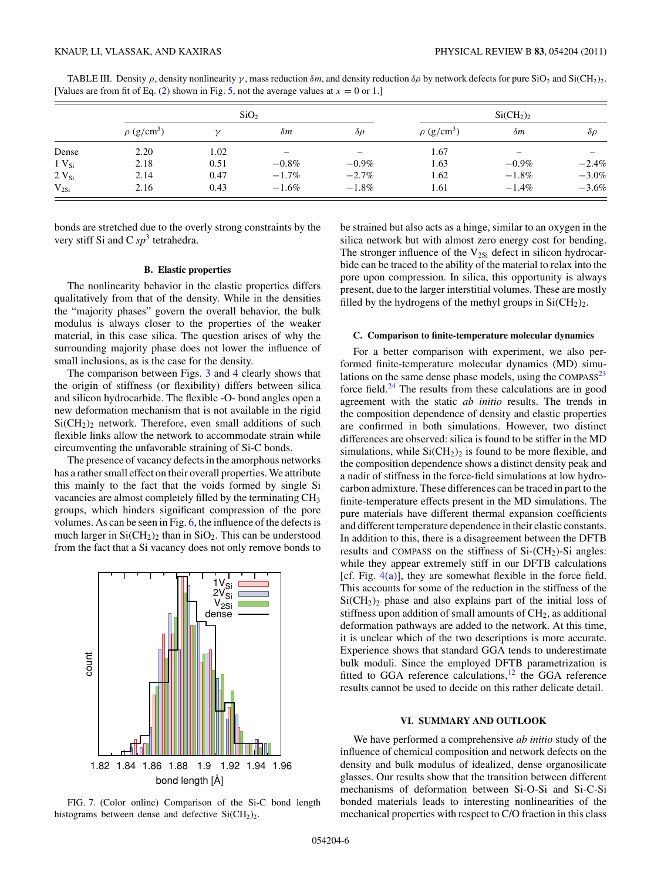<span id="page-5-0"></span>

| TABLE III. Density $\rho$ , density nonlinearity $\gamma$ , mass reduction $\delta m$ , and density reduction $\delta \rho$ by network defects for pure SiO <sub>2</sub> and Si(CH <sub>2</sub> ) <sub>2</sub> . |  |  |
|------------------------------------------------------------------------------------------------------------------------------------------------------------------------------------------------------------------|--|--|
| [Values are from fit of Eq. (2) shown in Fig. 5, not the average values at $x = 0$ or 1.]                                                                                                                        |  |  |

|            | SiO <sub>2</sub>            |      |                          | $Si(CH_2)$    |                             |                          |               |
|------------|-----------------------------|------|--------------------------|---------------|-----------------------------|--------------------------|---------------|
|            | $\rho$ (g/cm <sup>3</sup> ) |      | $\delta m$               | $\delta \rho$ | $\rho$ (g/cm <sup>3</sup> ) | $\delta m$               | $\delta \rho$ |
| Dense      | 2.20                        | 1.02 | $\overline{\phantom{m}}$ | -             | 1.67                        | $\overline{\phantom{m}}$ |               |
| $1 V_{Si}$ | 2.18                        | 0.51 | $-0.8\%$                 | $-0.9\%$      | 1.63                        | $-0.9\%$                 | $-2.4%$       |
| $2 V_{Si}$ | 2.14                        | 0.47 | $-1.7\%$                 | $-2.7\%$      | 1.62                        | $-1.8\%$                 | $-3.0%$       |
| $V_{2Si}$  | 2.16                        | 0.43 | $-1.6\%$                 | $-1.8\%$      | 1.61                        | $-1.4\%$                 | $-3.6%$       |

bonds are stretched due to the overly strong constraints by the very stiff Si and C *sp*<sup>3</sup> tetrahedra.

# **B. Elastic properties**

The nonlinearity behavior in the elastic properties differs qualitatively from that of the density. While in the densities the "majority phases" govern the overall behavior, the bulk modulus is always closer to the properties of the weaker material, in this case silica. The question arises of why the surrounding majority phase does not lower the influence of small inclusions, as is the case for the density.

The comparison between Figs. [3](#page-3-0) and [4](#page-3-0) clearly shows that the origin of stiffness (or flexibility) differs between silica and silicon hydrocarbide. The flexible -O- bond angles open a new deformation mechanism that is not available in the rigid  $Si(CH<sub>2</sub>)<sub>2</sub>$  network. Therefore, even small additions of such flexible links allow the network to accommodate strain while circumventing the unfavorable straining of Si-C bonds.

The presence of vacancy defects in the amorphous networks has a rather small effect on their overall properties. We attribute this mainly to the fact that the voids formed by single Si vacancies are almost completely filled by the terminating CH<sub>3</sub> groups, which hinders significant compression of the pore volumes. As can be seen in Fig. [6,](#page-4-0) the influence of the defects is much larger in  $SiCH<sub>2</sub>)<sub>2</sub>$  than in  $SiO<sub>2</sub>$ . This can be understood from the fact that a Si vacancy does not only remove bonds to



FIG. 7. (Color online) Comparison of the Si-C bond length histograms between dense and defective  $Si(CH<sub>2</sub>)<sub>2</sub>$ .

be strained but also acts as a hinge, similar to an oxygen in the silica network but with almost zero energy cost for bending. The stronger influence of the  $V_{2Si}$  defect in silicon hydrocarbide can be traced to the ability of the material to relax into the pore upon compression. In silica, this opportunity is always present, due to the larger interstitial volumes. These are mostly filled by the hydrogens of the methyl groups in  $SiCH<sub>2</sub>)<sub>2</sub>$ .

# **C. Comparison to finite-temperature molecular dynamics**

For a better comparison with experiment, we also performed finite-temperature molecular dynamics (MD) simulations on the same dense phase models, using the  $COMPASS^{23}$ force field. $24$  The results from these calculations are in good agreement with the static *ab initio* results. The trends in the composition dependence of density and elastic properties are confirmed in both simulations. However, two distinct differences are observed: silica is found to be stiffer in the MD simulations, while  $Si(CH<sub>2</sub>)<sub>2</sub>$  is found to be more flexible, and the composition dependence shows a distinct density peak and a nadir of stiffness in the force-field simulations at low hydrocarbon admixture. These differences can be traced in part to the finite-temperature effects present in the MD simulations. The pure materials have different thermal expansion coefficients and different temperature dependence in their elastic constants. In addition to this, there is a disagreement between the DFTB results and COMPASS on the stiffness of  $Si$ -(CH<sub>2</sub>)-Si angles: while they appear extremely stiff in our DFTB calculations [cf. Fig.  $4(a)$ ], they are somewhat flexible in the force field. This accounts for some of the reduction in the stiffness of the  $Si(CH<sub>2</sub>)<sub>2</sub>$  phase and also explains part of the initial loss of stiffness upon addition of small amounts of  $CH<sub>2</sub>$ , as additional deformation pathways are added to the network. At this time, it is unclear which of the two descriptions is more accurate. Experience shows that standard GGA tends to underestimate bulk moduli. Since the employed DFTB parametrization is fitted to GGA reference calculations,<sup>12</sup> the GGA reference results cannot be used to decide on this rather delicate detail.

#### **VI. SUMMARY AND OUTLOOK**

We have performed a comprehensive *ab initio* study of the influence of chemical composition and network defects on the density and bulk modulus of idealized, dense organosilicate glasses. Our results show that the transition between different mechanisms of deformation between Si-O-Si and Si-C-Si bonded materials leads to interesting nonlinearities of the mechanical properties with respect to C/O fraction in this class